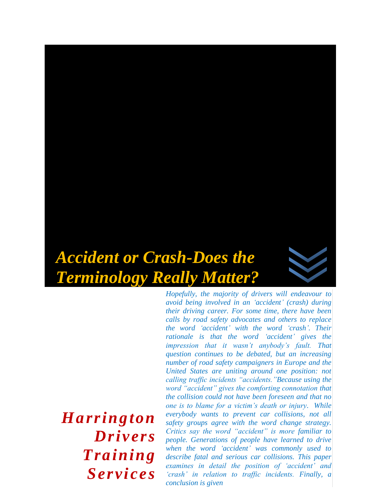# *Accident or Crash-Does the Terminology Really Matter?*



*Hopefully, the majority of drivers will endeavour to avoid being involved in an 'accident' (crash) during their driving career. For some time, there have been calls by road safety advocates and others to replace the word 'accident' with the word 'crash'. Their rationale is that the word 'accident' gives the impression that it wasn't anybody's fault. That question continues to be debated, but an increasing number of road safety campaigners in Europe and the United States are uniting around one position: not calling traffic incidents "accidents."Because using the word "accident" gives the comforting connotation that the collision could not have been foreseen and that no one is to blame for a victim's death or injury. While everybody wants to prevent car collisions, not all safety groups agree with the word change strategy. Critics say the word "accident" is more familiar to people. Generations of people have learned to drive when the word 'accident' was commonly used to describe fatal and serious car collisions. This paper examines in detail the position of 'accident' and 'crash' in relation to traffic incidents. Finally, a conclusion is given*

*Harrington Drivers Training Services*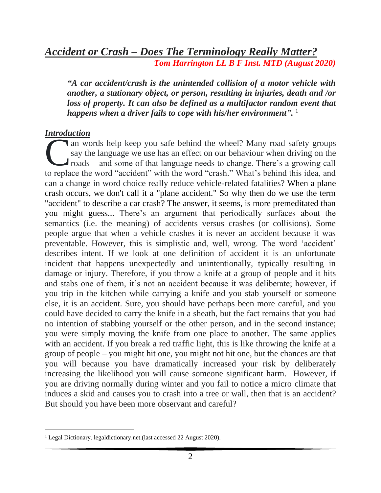# *Accident or Crash – Does The Terminology Really Matter? Tom Harrington LL B F Inst. MTD (August 2020)*

*"A car accident/crash is the unintended collision of a motor vehicle with another, a stationary object, or person, resulting in injuries, death and /or loss of property. It can also be defined as a multifactor random event that happens when a driver fails to cope with his/her environment".* 1

## *Introduction*

an words help keep you safe behind the wheel? Many road safety groups say the language we use has an effect on our behaviour when driving on the roads – and some of that language needs to change. There's a growing call an words help keep you safe behind the wheel? Many road safety groups<br>say the language we use has an effect on our behaviour when driving on the<br>roads – and some of that language needs to change. There's a growing call<br>to can a change in word choice really reduce vehicle-related fatalities? When a plane crash occurs, we don't call it a "plane accident." So why then do we use the term "accident" to describe a car crash? The answer, it seems, is more premeditated than you might guess... There's an argument that periodically surfaces about the semantics (i.e. the meaning) of accidents versus crashes (or collisions). Some people argue that when a vehicle crashes it is never an accident because it was preventable. However, this is simplistic and, well, wrong. The word 'accident' describes intent. If we look at one definition of accident it is an unfortunate incident that happens unexpectedly and unintentionally, typically resulting in damage or injury. Therefore, if you throw a knife at a group of people and it hits and stabs one of them, it's not an accident because it was deliberate; however, if you trip in the kitchen while carrying a knife and you stab yourself or someone else, it is an accident. Sure, you should have perhaps been more careful, and you could have decided to carry the knife in a sheath, but the fact remains that you had no intention of stabbing yourself or the other person, and in the second instance; you were simply moving the knife from one place to another. The same applies with an accident. If you break a red traffic light, this is like throwing the knife at a group of people – you might hit one, you might not hit one, but the chances are that you will because you have dramatically increased your risk by deliberately increasing the likelihood you will cause someone significant harm. However, if you are driving normally during winter and you fail to notice a micro climate that induces a skid and causes you to crash into a tree or wall, then that is an accident? But should you have been more observant and careful?

<sup>&</sup>lt;sup>1</sup> Legal Dictionary. legaldictionary.net.(last accessed 22 August 2020).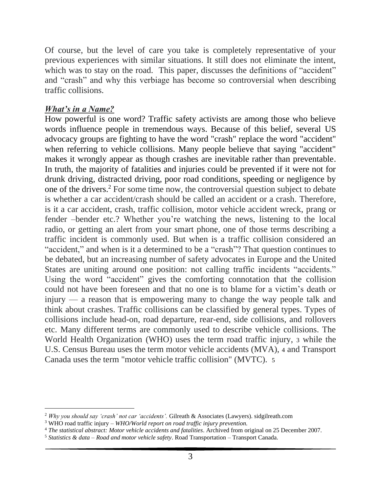Of course, but the level of care you take is completely representative of your previous experiences with similar situations. It still does not eliminate the intent, which was to stay on the road. This paper, discusses the definitions of "accident" and "crash" and why this verbiage has become so controversial when describing traffic collisions.

#### *What's in a Name?*

How powerful is one word? Traffic safety activists are among those who believe words influence people in tremendous ways. Because of this belief, several US advocacy groups are fighting to have the word "crash" replace the word "accident" when referring to vehicle collisions. Many people believe that saying "accident" makes it wrongly appear as though crashes are inevitable rather than preventable. In truth, the majority of fatalities and injuries could be prevented if it were not for drunk driving, distracted driving, poor road conditions, speeding or negligence by one of the drivers.<sup>2</sup> For some time now, the controversial question subject to debate is whether a car accident/crash should be called an accident or a crash. Therefore, is it a car accident, crash, traffic collision, motor vehicle accident wreck, prang or fender –bender etc.? Whether you're watching the news, listening to the local radio, or getting an alert from your smart phone, one of those terms describing a traffic incident is commonly used. But when is a traffic collision considered an "accident," and when is it a determined to be a "crash"? That question continues to be debated, but an increasing number of safety advocates in Europe and the United States are uniting around one position: not calling traffic incidents "accidents." Using the word "accident" gives the comforting connotation that the collision could not have been foreseen and that no one is to blame for a victim's death or injury — a reason that is empowering many to change the way people talk and think about crashes. Traffic collisions can be classified by general types. Types of collisions include [head-on,](https://en.wikipedia.org/wiki/Head-on_collision) [road departure,](https://en.wikipedia.org/wiki/Run-off-road_collision) [rear-end,](https://en.wikipedia.org/wiki/Rear-end_collision) [side collisions,](https://en.wikipedia.org/wiki/Side_collision) and [rollovers](https://en.wikipedia.org/wiki/Vehicle_rollover) etc. Many different terms are commonly used to describe vehicle collisions. The [World Health Organization](https://en.wikipedia.org/wiki/World_Health_Organization) (WHO) uses the term road traffic injury, 3 while the U.S. Census Bureau uses the term motor vehicle accidents (MVA), 4 and [Transport](https://en.wikipedia.org/wiki/Transport_Canada)  [Canada](https://en.wikipedia.org/wiki/Transport_Canada) uses the term "motor vehicle traffic collision" (MVTC). 5

<sup>2</sup> *Why you should say 'crash' not car 'accidents'.* Gilreath & Associates (Lawyers). sidgilreath.com

<sup>3</sup> WHO road traffic injury – *WHO/World report on road traffic injury prevention.*

<sup>4</sup> *The statistical abstract: Motor vehicle accidents and fatalities*. Archived from original on 25 December 2007.

<sup>5</sup> *Statistics & data – Road and motor vehicle safety*. Road Transportation – Transport Canada.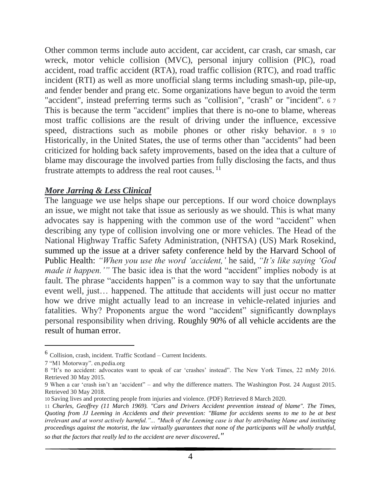Other common terms include auto accident, car accident, car crash, car smash, car wreck, motor vehicle collision (MVC), personal injury collision (PIC), road accident, road traffic accident (RTA), road traffic collision (RTC), and road traffic incident (RTI) as well as more unofficial slang terms including smash-up, pile-up, and fender bender and prang etc. Some organizations have begun to avoid the term "accident", instead preferring terms such as "collision", "crash" or "incident". 6 7 This is because the term "accident" implies that there is no-one to blame, whereas most traffic collisions are the result of [driving under the influence,](https://en.wikipedia.org/wiki/Driving_under_the_influence) [excessive](https://en.wikipedia.org/wiki/Speed_limit#Excessive_speed)  [speed,](https://en.wikipedia.org/wiki/Speed_limit#Excessive_speed) distractions such as mobile phones or other risky behavior. 8 9 10 Historically, in the United States, the use of terms other than "accidents" had been criticized for holding back safety improvements, based on the idea that a [culture of](https://en.wikipedia.org/wiki/Organizational_culture#Arthur_F_Carmazzi)  [blame](https://en.wikipedia.org/wiki/Organizational_culture#Arthur_F_Carmazzi) may discourage the involved parties from fully disclosing the facts, and thus frustrate attempts to address the real [root causes.](https://en.wikipedia.org/wiki/Root_cause)<sup>11</sup>

#### *More Jarring & Less Clinical*

The language we use helps shape our perceptions. If our word choice downplays an issue, we might not take that issue as seriously as we should. This is what many advocates say is happening with the common use of the word "accident" when describing any type of collision involving one or more vehicles. The Head of the National Highway Traffic Safety Administration, (NHTSA) (US) Mark Rosekind, summed [up the issue at a driver safety conference held by the Harvard School of](https://theforum.sph.harvard.edu/events/asleep-at-the-wheel/)  [Public Health:](https://theforum.sph.harvard.edu/events/asleep-at-the-wheel/) *"When you use the word 'accident,'* he said, *"It's like saying 'God made it happen.'"* The basic idea is that the word "accident" implies nobody is at fault. The phrase "accidents happen" is a common way to say that the unfortunate event well, just… happened. The attitude that accidents will just occur no matter how we drive might actually lead to an increase in vehicle-related injuries and fatalities. Why? Proponents argue the word "accident" significantly downplays personal responsibility when driving. [Roughly 90% of all vehicle accidents are the](http://cyberlaw.stanford.edu/blog/2013/12/human-error-cause-vehicle-crashes)  [result of human](http://cyberlaw.stanford.edu/blog/2013/12/human-error-cause-vehicle-crashes) error.

*so that the factors that really led to the accident are never discovered."*

<sup>6</sup> Collision, crash, incident. Traffic Scotland – Current Incidents.

<sup>7</sup> "M1 Motorway". en.pedia.org

<sup>8</sup> "It's no accident: advocates want to speak of car 'crashes' instead". The New York Times, 22 mMy 2016. Retrieved 30 May 2015.

<sup>9</sup> When a car 'crash isn't an 'accident" – and why the difference matters. The Washington Post. 24 August 2015. Retrieved 30 May 2018.

<sup>10</sup> Saving lives and protecting people from injuries and violence. (PDF) Retrieved 8 March 2020.

<sup>11</sup> *Charles, Geoffrey (11 March 1969). "Cars and Drivers Accident prevention instead of blame". The Times, Quoting from JJ Leeming in Accidents and their prevention: "Blame for accidents seems to me to be at best irrelevant and at worst actively harmful."... "Much of the Leeming case is that by attributing blame and instituting proceedings against the motorist, the law virtually guarantees that none of the participants will be wholly truthful,*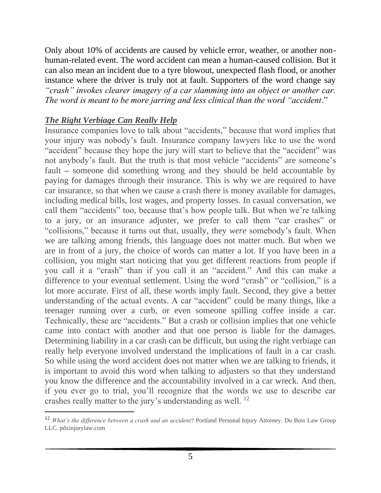Only about 10% of accidents are caused by vehicle error, weather, or another nonhuman-related event. The word accident can mean a human-caused collision. But it can also mean an incident due to a tyre blowout, unexpected flash flood, or another instance where the driver is truly not at fault. Supporters of the word change say *"crash" invokes clearer imagery of a car slamming into an object or another car. The word is meant to be more jarring and less clinical than the word "accident*."

## *The Right Verbiage Can Really Help*

Insurance companies love to talk about "accidents," because that word implies that your injury was nobody's fault. Insurance company lawyers like to use the word "accident" because they hope the jury will start to believe that the "accident" was not anybody's fault. But the truth is that most vehicle "accidents" are someone's fault **–** someone did something wrong and they should be held accountable by paying for damages through their insurance. This is why we are required to have car insurance, so that when we cause a crash there is money available for damages, including medical bills, lost wages, and property losses. In casual conversation, we call them "accidents" too, because that's how people talk. But when we're talking to a jury, or an insurance adjuster, we prefer to call them "car crashes" or "collisions," because it turns out that, usually, they *were* somebody's fault. When we are talking among friends, this language does not matter much. But when we are in front of a jury, the choice of words can matter a lot. If you have been in a collision, you might start noticing that you get different reactions from people if you call it a "crash" than if you call it an "accident." And this can make a difference to your eventual settlement. Using the word "crash" or "collision," is a lot more accurate. First of all, these words imply fault. Second, they give a better understanding of the actual events. A car "accident" could be many things, like a teenager running over a curb, or even someone spilling coffee inside a car. Technically, these are "accidents." But a crash or collision implies that one vehicle came into contact with another and that one person is liable for the damages. Determining liability in a car crash can be difficult, but using the right verbiage can really help everyone involved understand the implications of fault in a car crash. So while using the word accident does not matter when we are talking to friends, it is important to avoid this word when talking to adjusters so that they understand you know the difference and the accountability involved in a car wreck. And then, if you ever go to trial, you'll recognize that the words we use to describe car crashes really matter to the jury's understanding as well. <sup>12</sup>

<sup>12</sup> *What's the difference between a crash and an accident*? Portland Personal Injury Attorney. Du Bois Law Group LLC. pdxinjurylaw.com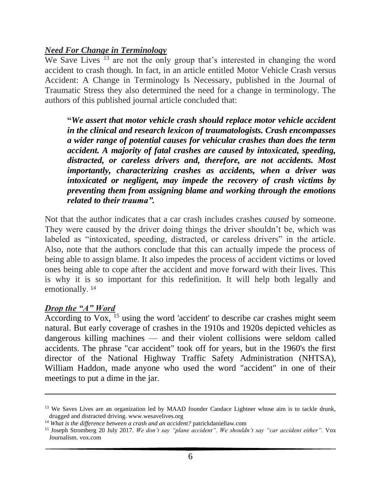## *Need For Change in Terminology*

We Save Lives  $^{13}$  are not the only group that's interested in changing the word accident to crash though. In fact, in an article entitled Motor Vehicle Crash versus Accident: A Change in Terminology Is Necessary, published in the [Journal of](https://doi.org/10.1023/A:1016260130224)  [Traumatic Stress](https://doi.org/10.1023/A:1016260130224) they also determined the need for a change in terminology. The authors of this published journal article concluded that:

**"***We assert that motor vehicle crash should replace motor vehicle accident in the clinical and research lexicon of traumatologists. Crash encompasses a wider range of potential causes for vehicular crashes than does the term accident. A majority of fatal crashes are caused by intoxicated, speeding, distracted, or careless drivers and, therefore, are not accidents. Most importantly, characterizing crashes as accidents, when a driver was intoxicated or negligent, may impede the recovery of crash victims by preventing them from assigning blame and working through the emotions related to their trauma".*

Not that the author indicates that a car crash includes crashes *caused* by someone. They were caused by the driver doing things the driver shouldn't be, which was labeled as "intoxicated, speeding, distracted, or careless drivers" in the article. Also, note that the authors conclude that this can actually impede the process of being able to assign blame. It also impedes the process of accident victims or loved ones being able to cope after the accident and move forward with their lives. This is why it is so important for this redefinition. It will help both legally and emotionally.<sup>14</sup>

#### *Drop the "A" Word*

[According](http://www.vox.com/2015/7/20/8995151/crash-not-accident) to  $Vox$ , <sup>15</sup> using the word 'accident' to describe car crashes might seem natural. But early coverage of crashes in the 1910s and 1920s depicted vehicles as dangerous killing machines — and their violent collisions were seldom called accidents. The phrase "car accident" took off for years, but in the 1960's the first director of the [National Highway Traffic Safety Administration](http://www.nhtsa.gov/) (NHTSA), William Haddon, made anyone who used the word "accident" in one of their meetings to put a dime in the jar.

<sup>&</sup>lt;sup>13</sup> We Saves Lives are an organization led by MAAD founder Candace Lightner whose aim is to tackle drunk, drugged and distracted driving. www.wesavelives.org

<sup>14</sup> *What is the difference between a crash and an accident?* patrickdaniellaw.com

<sup>15</sup> Joseph Stromberg 20 July 2017. *We don't say "plane accident". We shouldn't say "car accident either".* Vox Journalism. vox.com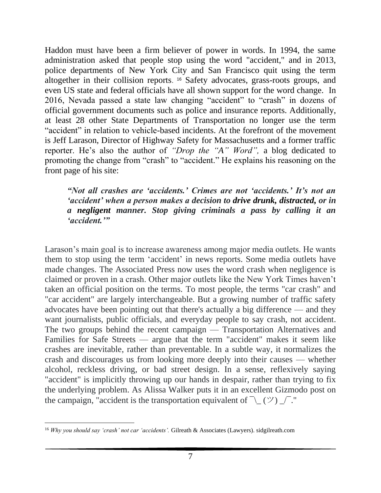Haddon must have been a firm believer of power in words. In 1994, the same administration asked that people stop using the word "accident," and in 2013, police departments of New York City and San Francisco quit using the term altogether in their collision reports. <sup>16</sup> Safety advocates, grass-roots groups, and even US state and federal officials have all shown support for the word change. In 2016, Nevada passed a state law changing "accident" to "crash" in dozens of official government documents such as police and insurance reports. Additionally, at least 28 other State Departments of Transportation no longer use the term "accident" in relation to vehicle-based incidents. At the forefront of the movement is Jeff Larason, Director of Highway Safety for Massachusetts and a former traffic reporter. He's also the author of *"Drop the "A" Word",* a blog dedicated to promoting the change from "crash" to "accident." He explains his reasoning on the front page of his site:

## *"Not all crashes are 'accidents.' Crimes are not 'accidents.' It's not an 'accident' when a person makes a decision to [drive drunk,](https://www.warriorsforjustice.com/hit-by-drunk-driver-fort-worth/) [distracted,](https://www.warriorsforjustice.com/distracted-driving-wreck-fort-worth/) or in a [negligent](https://www.warriorsforjustice.com/videos/negligence/) manner. Stop giving criminals a pass by calling it an 'accident.'"*

Larason's main goal is to increase awareness among major media outlets. He wants them to stop using the term 'accident' in news reports. Some media outlets have made changes. The Associated Press now uses the word crash when negligence is claimed or proven in a crash. Other major outlets like the New York Times haven't taken an official position on the terms. To most people, the terms "car crash" and "car accident" are largely interchangeable. But a growing number of traffic safety advocates have been pointing out that there's actually a big difference — and they want journalists, public officials, and everyday people to [say crash, not accident.](http://www.crashnotaccident.com/) The two groups behind the recent campaign — [Transportation Alternatives](https://www.transalt.org/) and [Families for Safe Streets](http://transalt.org/getinvolved/familiesforsafestreets) — argue that the term "accident" makes it seem like crashes are inevitable, rather than preventable. In a subtle way, it normalizes the crash and discourages us from looking more deeply into their causes — whether alcohol, reckless driving, or bad street design. In a sense, reflexively saying "accident" is implicitly throwing up our hands in despair, rather than trying to fix the underlying problem. As [Alissa Walker puts it](http://gizmodo.com/there-are-no-accidents-1717997041) in an excellent Gizmodo post on the campaign, "accident is the transportation equivalent of  $\bar{ }$  \ ( $\vee$ )  $\bar{ }$ ."

<sup>16</sup> *Why you should say 'crash' not car 'accidents'.* Gilreath & Associates (Lawyers). sidgilreath.com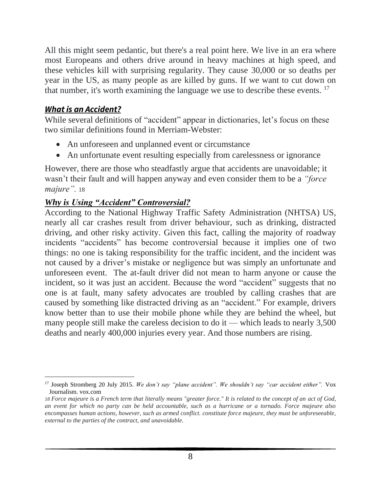All this might seem pedantic, but there's a real point here. We live in an era where most Europeans and others drive around in heavy machines at high speed, and these vehicles kill with surprising regularity. They cause [30,000 or so](http://www-fars.nhtsa.dot.gov/Main/index.aspx) deaths per year in the US, as many people as [are killed by guns.](http://www.theatlantic.com/technology/archive/2015/01/americas-top-killing-machine/384440/) If we want to cut down on that number, it's worth examining the language we use to describe these events.  $17$ 

# *What is an Accident?*

While several definitions of "accident" appear in dictionaries, let's focus on these two similar definitions found in Merriam-Webster:

- An unforeseen and unplanned event or circumstance
- An unfortunate event resulting especially from carelessness or ignorance

However, there are those who steadfastly argue that accidents are unavoidable; it wasn't their fault and will happen anyway and even consider them to be a *"force majure".* 18

# *Why is Using "Accident" Controversial?*

According to the National Highway Traffic Safety Administration (NHTSA) US, nearly all car crashes result from driver behaviour, such as drinking, distracted driving, and other risky activity. Given this fact, calling the majority of roadway incidents "accidents" has become controversial because it implies one of two things: no one is taking responsibility for the traffic incident, and the incident was not caused by a driver's mistake or negligence but was simply an unfortunate and unforeseen event. The at-fault driver did not mean to harm anyone or cause the incident, so it was just an accident. Because the word "accident" suggests that no one is at fault, many safety advocates are troubled by calling crashes that are caused by something like distracted driving as an "accident." For example, drivers know better than to use their mobile phone while they are behind the wheel, but many people still make the careless decision to do it — which leads to nearly 3,500 deaths and nearly 400,000 injuries every year. And those numbers are rising.

<sup>17</sup> Joseph Stromberg 20 July 2015. *We don't say "plane accident". We shouldn't say "car accident either".* Vox Journalism. vox.com

*<sup>18</sup> Force majeure is a French term that literally means "greater force." It is related to the concept of an [act of God,](https://www.investopedia.com/terms/a/act-god.asp) an event for which no party can be held accountable, such as a hurricane or a tornado. Force majeure also encompasses human actions, however, such as armed conflict. constitute force majeure, they must be unforeseeable, external to the parties of the contract, and unavoidable.*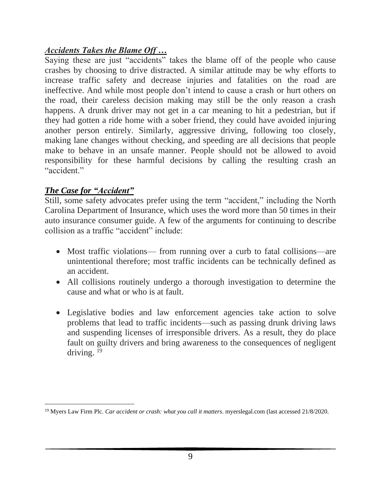# *Accidents Takes the Blame Off …*

Saying these are just "accidents" takes the blame off of the people who cause crashes by choosing to drive distracted. A similar attitude may be why efforts to increase traffic safety and decrease injuries and fatalities on the road are ineffective. And while most people don't intend to cause a crash or hurt others on the road, their careless decision making may still be the only reason a crash happens. A drunk driver may not get in a car meaning to hit a pedestrian, but if they had gotten a ride home with a sober friend, they could have avoided injuring another person entirely. Similarly, aggressive driving, following too closely, making lane changes without checking, and speeding are all decisions that people make to behave in an unsafe manner. People should not be allowed to avoid responsibility for these harmful decisions by calling the resulting crash an "accident."

# *The Case for "Accident"*

Still, some safety advocates prefer using the term "accident," including the North Carolina Department of Insurance, which uses the word more than 50 times in their auto insurance consumer guide. A few of the arguments for continuing to describe collision as a traffic "accident" include:

- Most traffic violations— from running over a curb to fatal collisions—are unintentional therefore; most traffic incidents can be technically defined as an accident.
- All collisions routinely undergo a thorough investigation to determine the cause and what or who is at fault.
- Legislative bodies and law enforcement agencies take action to solve problems that lead to traffic incidents—such as passing drunk driving laws and suspending licenses of irresponsible drivers. As a result, they do place fault on guilty drivers and bring awareness to the consequences of negligent driving. <sup>19</sup>

<sup>19</sup> Myers Law Firm Plc. *Car accident or crash: what you call it matters*. myerslegal.com (last accessed 21/8/2020.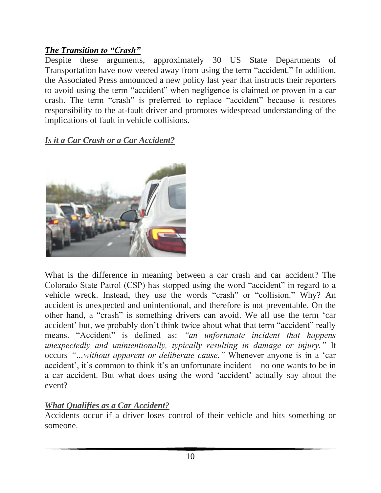# *The Transition to "Crash"*

Despite these arguments, approximately 30 US State Departments of Transportation have now veered away from using the term "accident." In addition, the Associated Press announced a new policy last year that instructs their reporters to avoid using the term "accident" when negligence is claimed or proven in a car crash. The term "crash" is preferred to replace "accident" because it restores responsibility to the at-fault driver and promotes widespread understanding of the implications of fault in vehicle collisions.

*Is it a Car Crash or a Car Accident?*



What is the difference in meaning between a car crash and car accident? The Colorado State Patrol (CSP) has stopped using the word "accident" in regard to a vehicle wreck. Instead, they use the words "crash" or "collision." [Why?](http://www.cpr.org/news/story/colorado-state-patrol-wants-you-stop-saying-one-word) An accident is unexpected and unintentional, and therefore is not preventable. On the other hand, a "crash" is something drivers can avoid. We all use the term ['car](http://mcdivittlaw.azurewebsites.net/colorado-auto-accident-lawyer/)  [accident'](http://mcdivittlaw.azurewebsites.net/colorado-auto-accident-lawyer/) but, we probably don't think twice about what that term "accident" really means. "Accident" is defined as: *"an unfortunate incident that happens unexpectedly and unintentionally, typically resulting in damage or injury."* It occurs *"…without apparent or deliberate cause."* Whenever anyone is in a 'car accident', it's common to think it's an unfortunate incident – no one wants to be in a car accident. But what does using the word 'accident' actually say about the event?

# *What Qualifies as a Car Accident?*

Accidents occur if a driver loses control of their vehicle and hits something or someone.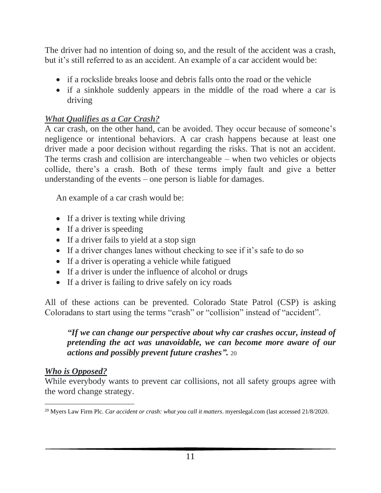The driver had no intention of doing so, and the result of the accident was a crash, but it's still referred to as an accident. An example of a car accident would be:

- if a rockslide breaks loose and debris falls onto the road or the vehicle
- if a sinkhole suddenly appears in the middle of the road where a car is driving

# *What Qualifies as a Car Crash?*

A car crash, on the other hand, can be avoided. They occur because of someone's negligence or intentional behaviors. A car crash happens because at least one driver made a poor decision without regarding the risks. That is not an accident. The terms crash and collision are interchangeable – when two vehicles or objects collide, there's a crash. Both of these terms imply fault and give a better understanding of the events – one person is liable for damages.

An example of a car crash would be:

- If a driver is texting while driving
- If a driver is speeding
- If a driver fails to yield at a stop sign
- If a driver changes lanes without checking to see if it's safe to do so
- If a driver is operating a vehicle while fatigued
- If a driver is under the influence of [alcohol or drugs](http://mcdivittlaw.azurewebsites.net/blog/driving-high-colorado-stats-law)
- If a driver is failing to drive safely on [icy roads](http://mcdivittlaw.azurewebsites.net/blog/drive-icy-snow-covered-roads)

All of these actions can be prevented. Colorado State Patrol (CSP) is asking Coloradans to start using the terms "crash" or "collision" instead of "accident".

## *"If we can change our perspective about why car crashes occur, instead of pretending the act was unavoidable, we can become more aware of our actions and possibly prevent future crashes".* 20

## *Who is Opposed?*

While everybody wants to prevent car collisions, not all safety groups agree with the word change strategy.

<sup>20</sup> Myers Law Firm Plc. *Car accident or crash: what you call it matters*. myerslegal.com (last accessed 21/8/2020.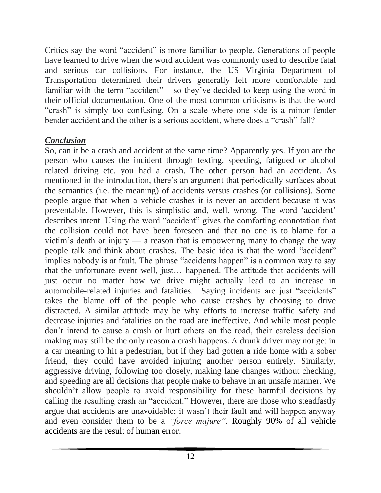Critics say the word "accident" is more familiar to people. Generations of people have learned to drive when the word accident was commonly used to describe fatal and serious car collisions. For instance, the US Virginia Department of Transportation determined their drivers generally felt more comfortable and familiar with the term "accident" – so they've decided to keep using the word in their official documentation. One of the most common criticisms is that the word "crash" is simply too confusing. On a scale where one side is a minor fender bender accident and the other is a serious accident, where does a "crash" fall?

## *Conclusion*

So, can it be a crash and accident at the same time? Apparently yes. If you are the person who causes the incident through texting, speeding, fatigued or alcohol related driving etc. you had a crash. The other person had an accident. As mentioned in the introduction, there's an argument that periodically surfaces about the semantics (i.e. the meaning) of accidents versus crashes (or collisions). Some people argue that when a vehicle crashes it is never an accident because it was preventable. However, this is simplistic and, well, wrong. The word 'accident' describes intent. Using the word "accident" gives the comforting connotation that the collision could not have been foreseen and that no one is to blame for a victim's death or injury — a reason that is empowering many to change the way people talk and think about crashes. The basic idea is that the word "accident" implies nobody is at fault. The phrase "accidents happen" is a common way to say that the unfortunate event well, just… happened. The attitude that accidents will just occur no matter how we drive might actually lead to an increase in automobile-related injuries and fatalities. Saying incidents are just "accidents" takes the blame off of the people who cause crashes by choosing to drive distracted. A similar attitude may be why efforts to increase traffic safety and decrease injuries and fatalities on the road are ineffective. And while most people don't intend to cause a crash or hurt others on the road, their careless decision making may still be the only reason a crash happens. A drunk driver may not get in a car meaning to hit a pedestrian, but if they had gotten a ride home with a sober friend, they could have avoided injuring another person entirely. Similarly, aggressive driving, following too closely, making lane changes without checking, and speeding are all decisions that people make to behave in an unsafe manner. We shouldn't allow people to avoid responsibility for these harmful decisions by calling the resulting crash an "accident." However, there are those who steadfastly argue that accidents are unavoidable; it wasn't their fault and will happen anyway and even consider them to be a *"force majure".* [Roughly 90% of all vehicle](http://cyberlaw.stanford.edu/blog/2013/12/human-error-cause-vehicle-crashes)  [accidents are the result of human error.](http://cyberlaw.stanford.edu/blog/2013/12/human-error-cause-vehicle-crashes)